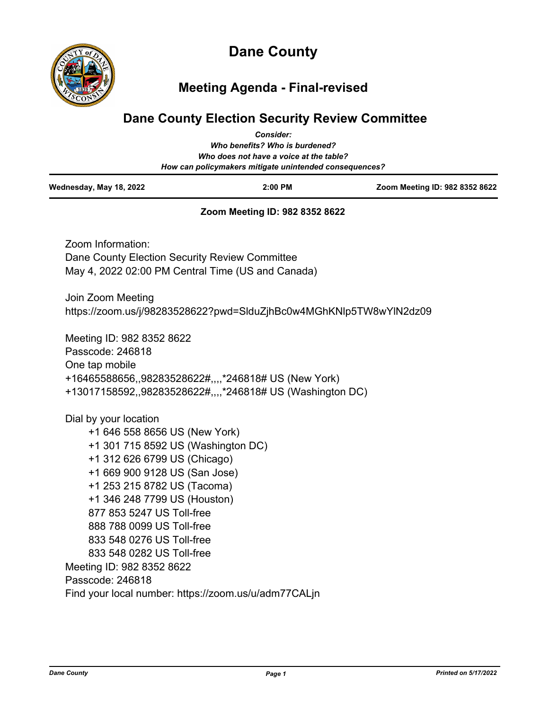

**Meeting Agenda - Final-revised**

## **Dane County Election Security Review Committee**

| <b>Consider:</b><br>Who benefits? Who is burdened?<br>Who does not have a voice at the table?<br>How can policymakers mitigate unintended consequences?                                                                                                                                                                                                                       |                                                                                                                   |                                |
|-------------------------------------------------------------------------------------------------------------------------------------------------------------------------------------------------------------------------------------------------------------------------------------------------------------------------------------------------------------------------------|-------------------------------------------------------------------------------------------------------------------|--------------------------------|
| Wednesday, May 18, 2022                                                                                                                                                                                                                                                                                                                                                       | 2:00 PM                                                                                                           | Zoom Meeting ID: 982 8352 8622 |
|                                                                                                                                                                                                                                                                                                                                                                               | Zoom Meeting ID: 982 8352 8622                                                                                    |                                |
| Zoom Information:<br>Dane County Election Security Review Committee                                                                                                                                                                                                                                                                                                           | May 4, 2022 02:00 PM Central Time (US and Canada)                                                                 |                                |
| Join Zoom Meeting                                                                                                                                                                                                                                                                                                                                                             | https://zoom.us/j/98283528622?pwd=SlduZjhBc0w4MGhKNlp5TW8wYlN2dz09                                                |                                |
| Meeting ID: 982 8352 8622<br>Passcode: 246818<br>One tap mobile                                                                                                                                                                                                                                                                                                               | +16465588656,,98283528622#,,,,*246818# US (New York)<br>+13017158592,,98283528622#,,,,*246818# US (Washington DC) |                                |
| Dial by your location<br>+1 646 558 8656 US (New York)<br>+1 301 715 8592 US (Washington DC)<br>+1 312 626 6799 US (Chicago)<br>+1 669 900 9128 US (San Jose)<br>+1 253 215 8782 US (Tacoma)<br>+1 346 248 7799 US (Houston)<br>877 853 5247 US Toll-free<br>888 788 0099 US Toll-free<br>833 548 0276 US Toll-free<br>833 548 0282 US Toll-free<br>Meeting ID: 982 8352 8622 |                                                                                                                   |                                |
| Passcode: 246818                                                                                                                                                                                                                                                                                                                                                              | Find your local number: https://zoom.us/u/adm77CALjn                                                              |                                |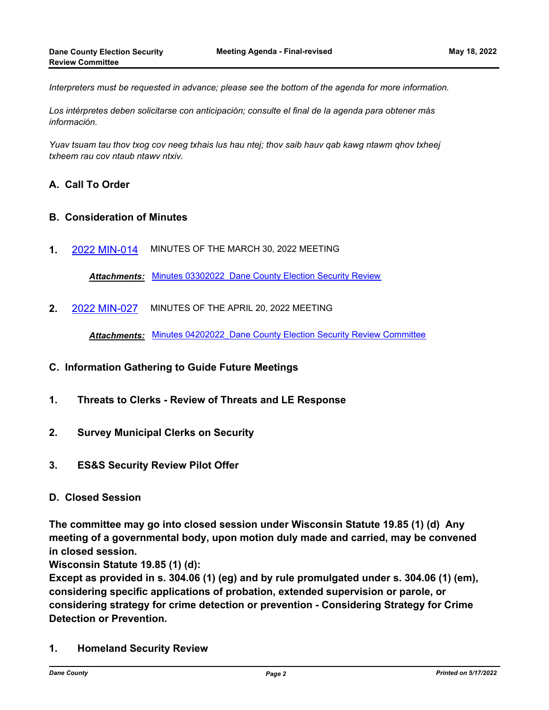*Interpreters must be requested in advance; please see the bottom of the agenda for more information.*

*Los intérpretes deben solicitarse con anticipación; consulte el final de la agenda para obtener más información.*

*Yuav tsuam tau thov txog cov neeg txhais lus hau ntej; thov saib hauv qab kawg ntawm qhov txheej txheem rau cov ntaub ntawv ntxiv.*

## **A. Call To Order**

## **B. Consideration of Minutes**

**1.** [2022 MIN-014](http://dane.legistar.com/gateway.aspx?m=l&id=/matter.aspx?key=22709) MINUTES OF THE MARCH 30, 2022 MEETING

*Attachments:* [Minutes 03302022\\_Dane County Election Security Review](http://dane.legistar.com/gateway.aspx?M=F&ID=00b5f3c0-0009-4270-ad4f-10e9728c5e3d.pdf)

**2.** [2022 MIN-027](http://dane.legistar.com/gateway.aspx?m=l&id=/matter.aspx?key=22790) MINUTES OF THE APRIL 20, 2022 MEETING

*Attachments:* [Minutes 04202022\\_Dane County Election Security Review Committee](http://dane.legistar.com/gateway.aspx?M=F&ID=3479fd77-fc96-495e-a0f8-b9d10ab83cab.pdf)

- **C. Information Gathering to Guide Future Meetings**
- **1. Threats to Clerks Review of Threats and LE Response**
- **2. Survey Municipal Clerks on Security**
- **3. ES&S Security Review Pilot Offer**

## **D. Closed Session**

**The committee may go into closed session under Wisconsin Statute 19.85 (1) (d) Any meeting of a governmental body, upon motion duly made and carried, may be convened in closed session.** 

**Wisconsin Statute 19.85 (1) (d):**

**Except as provided in s. 304.06 (1) (eg) and by rule promulgated under s. 304.06 (1) (em), considering specific applications of probation, extended supervision or parole, or considering strategy for crime detection or prevention - Considering Strategy for Crime Detection or Prevention.**

**1. Homeland Security Review**